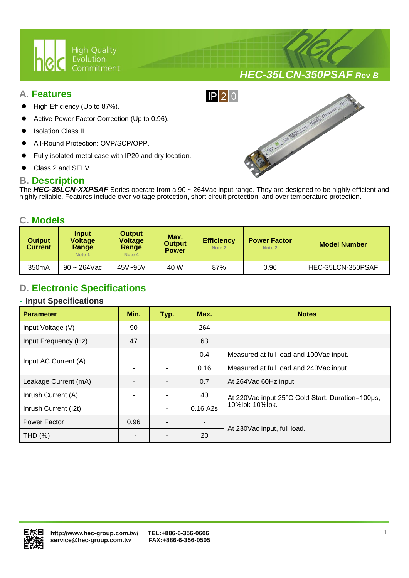

# *HEC-35LCN-350PSAF Rev B*

#### **A. Features**

- High Efficiency (Up to 87%).
- Active Power Factor Correction (Up to 0.96).
- Isolation Class II.
- All-Round Protection: OVP/SCP/OPP.
- Fully isolated metal case with IP20 and dry location.

Ι

Class 2 and SELV.

#### **B. Description**

The *HEC-35LCN-XXPSAF* Series operate from a 90 ~ 264Vac input range. They are designed to be highly efficient and highly reliable. Features include over voltage protection, short circuit protection, and over temperature protection.

 $IP$ |2|0

#### **C. Models**

| <b>Output</b><br><b>Current</b> | Input<br><b>Voltage</b><br>Range<br>Note 1 | <b>Output</b><br><b>Voltage</b><br>Range<br>Note 4 | Max.<br><b>Output</b><br><b>Power</b> | <b>Efficiency</b><br>Note 2 | <b>Power Factor</b><br>Note 2 | <b>Model Number</b> |  |
|---------------------------------|--------------------------------------------|----------------------------------------------------|---------------------------------------|-----------------------------|-------------------------------|---------------------|--|
| 350 <sub>m</sub> A              | $90 - 264$ Vac                             | 45V~95V                                            | 40 W                                  | 87%                         | 0.96                          | HEC-35LCN-350PSAF   |  |

# **D. Electronic Specifications**

#### **- Input Specifications**

| <b>Parameter</b>     | Min. | Typ. | Max.     | <b>Notes</b>                                     |  |
|----------------------|------|------|----------|--------------------------------------------------|--|
| Input Voltage (V)    | 90   |      | 264      |                                                  |  |
| Input Frequency (Hz) | 47   |      | 63       |                                                  |  |
| Input AC Current (A) |      |      | 0.4      | Measured at full load and 100Vac input.          |  |
|                      |      |      | 0.16     | Measured at full load and 240Vac input.          |  |
| Leakage Current (mA) |      |      | 0.7      | At 264 Vac 60 Hz input.                          |  |
| Inrush Current (A)   |      |      | 40       | At 220Vac input 25°C Cold Start. Duration=100µs, |  |
| Inrush Current (I2t) |      |      | 0.16 A2s | 10%lpk-10%lpk.                                   |  |
| Power Factor         | 0.96 |      |          |                                                  |  |
| THD (%)              |      |      | 20       | At 230Vac input, full load.                      |  |

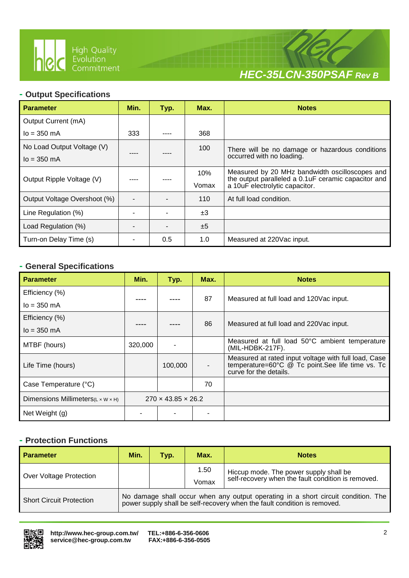

Ι



#### **- Output Specifications**

| <b>Parameter</b>             | Min. | Max.<br>Typ. |       | <b>Notes</b>                                                                                           |  |
|------------------------------|------|--------------|-------|--------------------------------------------------------------------------------------------------------|--|
| Output Current (mA)          |      |              |       |                                                                                                        |  |
| $I_0 = 350$ mA               | 333  |              | 368   |                                                                                                        |  |
| No Load Output Voltage (V)   |      |              | 100   | There will be no damage or hazardous conditions                                                        |  |
| $I_0 = 350 \text{ mA}$       |      |              |       | occurred with no loading.                                                                              |  |
|                              |      |              | 10%   | Measured by 20 MHz bandwidth oscilloscopes and<br>the output paralleled a 0.1 uF ceramic capacitor and |  |
| Output Ripple Voltage (V)    |      |              | Vomax | a 10uF electrolytic capacitor.                                                                         |  |
| Output Voltage Overshoot (%) |      |              | 110   | At full load condition.                                                                                |  |
| Line Regulation (%)          |      |              | ±3    |                                                                                                        |  |
| Load Regulation (%)          |      |              | ±5    |                                                                                                        |  |
| Turn-on Delay Time (s)       |      | 0.5          | 1.0   | Measured at 220Vac input.                                                                              |  |

#### **- General Specifications**

| <b>Parameter</b>                                 | Min.    | Typ.                           | Max.                     | <b>Notes</b>                                                                                                                       |  |  |
|--------------------------------------------------|---------|--------------------------------|--------------------------|------------------------------------------------------------------------------------------------------------------------------------|--|--|
| Efficiency (%)                                   |         |                                | 87                       |                                                                                                                                    |  |  |
| $I_0 = 350$ mA                                   |         |                                |                          | Measured at full load and 120 Vac input.                                                                                           |  |  |
| Efficiency (%)                                   |         |                                |                          |                                                                                                                                    |  |  |
| $I_0 = 350$ mA                                   |         |                                | 86                       | Measured at full load and 220Vac input.                                                                                            |  |  |
| MTBF (hours)                                     | 320,000 |                                |                          | Measured at full load 50°C ambient temperature<br>(MIL-HDBK-217F).                                                                 |  |  |
| Life Time (hours)                                |         | 100,000                        | $\overline{\phantom{a}}$ | Measured at rated input voltage with full load, Case<br>temperature=60°C @ Tc point.See life time vs. Tc<br>curve for the details. |  |  |
| Case Temperature (°C)                            |         |                                | 70                       |                                                                                                                                    |  |  |
| Dimensions Millimeters ( $L \times W \times H$ ) |         | $270 \times 43.85 \times 26.2$ |                          |                                                                                                                                    |  |  |
| Net Weight (g)                                   |         |                                |                          |                                                                                                                                    |  |  |

## **- Protection Functions**

| <b>Parameter</b>                | Min.<br>Max.<br><b>Notes</b><br>Typ.                                                                                                                          |  |       |                                                                                              |  |
|---------------------------------|---------------------------------------------------------------------------------------------------------------------------------------------------------------|--|-------|----------------------------------------------------------------------------------------------|--|
| Over Voltage Protection         |                                                                                                                                                               |  | 1.50  | Hiccup mode. The power supply shall be<br>self-recovery when the fault condition is removed. |  |
|                                 |                                                                                                                                                               |  | Vomax |                                                                                              |  |
| <b>Short Circuit Protection</b> | No damage shall occur when any output operating in a short circuit condition. The<br>power supply shall be self-recovery when the fault condition is removed. |  |       |                                                                                              |  |

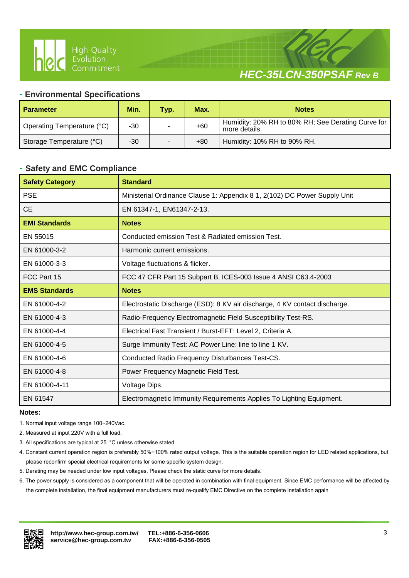



#### **- Environmental Specifications**

Ι

| <b>Parameter</b>           | Min.  | Typ. | Max.  | <b>Notes</b>                                                        |
|----------------------------|-------|------|-------|---------------------------------------------------------------------|
| Operating Temperature (°C) | -30   |      | $+60$ | Humidity: 20% RH to 80% RH; See Derating Curve for<br>more details. |
| Storage Temperature (°C)   | $-30$ |      | $+80$ | Humidity: 10% RH to 90% RH.                                         |

#### **- Safety and EMC Compliance**

| <b>Safety Category</b> | <b>Standard</b>                                                            |
|------------------------|----------------------------------------------------------------------------|
| <b>PSE</b>             | Ministerial Ordinance Clause 1: Appendix 8 1, 2(102) DC Power Supply Unit  |
| <b>CE</b>              | EN 61347-1, EN61347-2-13.                                                  |
| <b>EMI Standards</b>   | <b>Notes</b>                                                               |
| EN 55015               | Conducted emission Test & Radiated emission Test.                          |
| EN 61000-3-2           | Harmonic current emissions.                                                |
| EN 61000-3-3           | Voltage fluctuations & flicker.                                            |
| FCC Part 15            | FCC 47 CFR Part 15 Subpart B, ICES-003 Issue 4 ANSI C63.4-2003             |
| <b>EMS Standards</b>   | <b>Notes</b>                                                               |
| EN 61000-4-2           | Electrostatic Discharge (ESD): 8 KV air discharge, 4 KV contact discharge. |
| EN 61000-4-3           | Radio-Frequency Electromagnetic Field Susceptibility Test-RS.              |
| EN 61000-4-4           | Electrical Fast Transient / Burst-EFT: Level 2, Criteria A.                |
| EN 61000-4-5           | Surge Immunity Test: AC Power Line: line to line 1 KV.                     |
| EN 61000-4-6           | Conducted Radio Frequency Disturbances Test-CS.                            |
| EN 61000-4-8           | Power Frequency Magnetic Field Test.                                       |
| EN 61000-4-11          | Voltage Dips.                                                              |
| EN 61547               | Electromagnetic Immunity Requirements Applies To Lighting Equipment.       |

#### **Notes:**

- 1. Normal input voltage range 100~240Vac.
- 2. Measured at input 220V with a full load.
- 3. All specifications are typical at 25 °C unless otherwise stated.
- 4. Constant current operation region is preferably 50%~100% rated output voltage. This is the suitable operation region for LED related applications, but please reconfirm special electrical requirements for some specific system design.
- 5. Derating may be needed under low input voltages. Please check the static curve for more details.
- 6. The power supply is considered as a component that will be operated in combination with final equipment. Since EMC performance will be affected by the complete installation, the final equipment manufacturers must re-qualify EMC Directive on the complete installation again

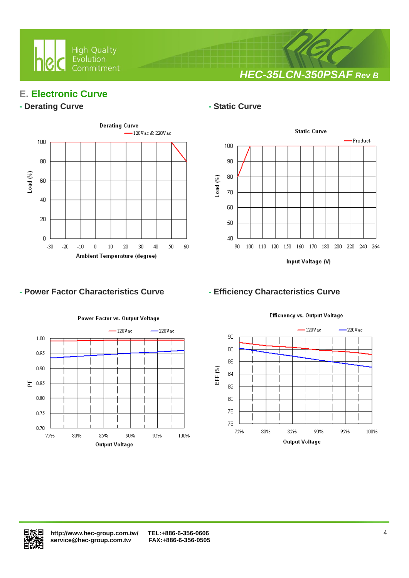

*HEC-35LCN-350PSAF Rev B*

## **E. Electronic Curve**

#### **- Derating Curve - Static Curve**



Ι



### **- Power Factor Characteristics Curve - Efficiency Characteristics Curve**



Efficnency vs. Output Voltage



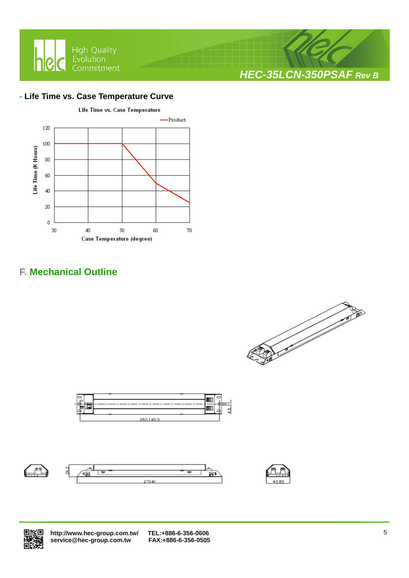

### **- Life Time vs. Case Temperature Curve**



Ι

# **F. Mechanical Outline**



*HEC-35LCN-350PSAF Rev B*











 **<http://www.hec-group.com.tw/>[TEL:+886-6-356-0606](tel:+886-6-356-0606)**   $\overline{\text{service@hec}}$ -group.com.tw